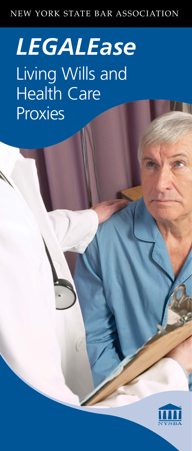# NEW YORK STATE BAR ASSOCIATION

# *LEGALEase* Living Wills and Health Care **Proxies**

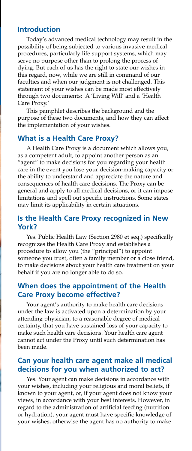#### **Introduction**

Today's advanced medical technology may result in the possibility of being subjected to various invasive medical procedures, particularly life support systems, which may serve no purpose other than to prolong the process of dying. But each of us has the right to state our wishes in this regard, now, while we are still in command of our faculties and when our judgment is not challenged. This statement of your wishes can be made most effectively through two documents: A 'Living Will' and a 'Health Care Proxy.'

This pamphlet describes the background and the purpose of these two documents, and how they can affect the implementation of your wishes.

## **What is a Health Care Proxy?**

A Health Care Proxy is a document which allows you, as a competent adult, to appoint another person as an "agent" to make decisions for you regarding your health care in the event you lose your decision-making capacity or the ability to understand and appreciate the nature and consequences of health care decisions. The Proxy can be general and apply to all medical decisions, or it can impose limitations and spell out specific instructions. Some states may limit its applicability in certain situations.

## **Is the Health Care Proxy recognized in New York?**

Yes. Public Health Law (Section 2980 et seq.) specifically recognizes the Health Care Proxy and establishes a procedure to allow you (the "principal") to appoint someone you trust, often a family member or a close friend, to make decisions about your health care treatment on your behalf if you are no longer able to do so.

## **When does the appointment of the Health Care Proxy become effective?**

Your agent's authority to make health care decisions under the law is activated upon a determination by your attending physician, to a reasonable degree of medical certainty, that you have sustained loss of your capacity to make such health care decisions. Your health care agent cannot act under the Proxy until such determination has been made.

## **Can your health care agent make all medical decisions for you when authorized to act?**

Yes. Your agent can make decisions in accordance with your wishes, including your religious and moral beliefs, if known to your agent, or, if your agent does not know your views, in accordance with your best interests. However, in regard to the administration of artificial feeding (nutrition or hydration), your agent must have specific knowledge of your wishes, otherwise the agent has no authority to make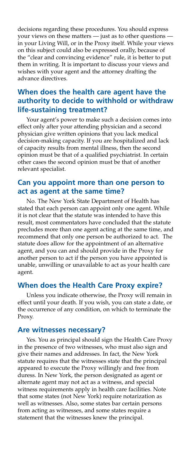decisions regarding these procedures. You should express your views on these matters — just as to other questions in your Living Will, or in the Proxy itself. While your views on this subject could also be expressed orally, because of the "clear and convincing evidence" rule, it is better to put them in writing. It is important to discuss your views and wishes with your agent and the attorney drafting the advance directives.

## **When does the health care agent have the authority to decide to withhold or withdraw life-sustaining treatment?**

Your agent's power to make such a decision comes into effect only after your attending physician and a second physician give written opinions that you lack medical decision-making capacity. If you are hospitalized and lack of capacity results from mental illness, then the second opinion must be that of a qualified psychiatrist. In certain other cases the second opinion must be that of another relevant specialist.

## **Can you appoint more than one person to act as agent at the same time?**

No. The New York State Department of Health has stated that each person can appoint only one agent. While it is not clear that the statute was intended to have this result, most commentators have concluded that the statute precludes more than one agent acting at the same time, and recommend that only one person be authorized to act. The statute does allow for the appointment of an alternative agent, and you can and should provide in the Proxy for another person to act if the person you have appointed is unable, unwilling or unavailable to act as your health care agent.

## **When does the Health Care Proxy expire?**

Unless you indicate otherwise, the Proxy will remain in effect until your death. If you wish, you can state a date, or the occurrence of any condition, on which to terminate the Proxy.

#### **Are witnesses necessary?**

Yes. You as principal should sign the Health Care Proxy in the presence of two witnesses, who must also sign and give their names and addresses. In fact, the New York statute requires that the witnesses state that the principal appeared to execute the Proxy willingly and free from duress. In New York, the person designated as agent or alternate agent may not act as a witness, and special witness requirements apply in health care facilities. Note that some states (not New York) require notarization as well as witnesses. Also, some states bar certain persons from acting as witnesses, and some states require a statement that the witnesses knew the principal.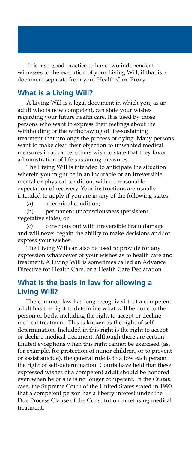It is also good practice to have two independent witnesses to the execution of your Living Will, if that is a document separate from your Health Care Proxy.

#### **What is a Living Will?**

A Living Will is a legal document in which you, as an adult who is now competent, can state your wishes regarding your future health care. It is used by those persons who want to express their feelings about the withholding or the withdrawing of life-sustaining treatment that prolongs the process of dying. Many persons want to make clear their objection to unwanted medical measures in advance; others wish to state that they favor administration of life-sustaining measures.

The Living Will is intended to anticipate the situation wherein you might be in an incurable or an irreversible mental or physical condition, with no reasonable expectation of recovery. Your instructions are usually intended to apply if you are in any of the following states:

(a) a terminal condition;

(b) permanent unconsciousness (persistent vegetative state); or

(c) conscious but with irreversible brain damage and will never regain the ability to make decisions and/or express your wishes.

The Living Will can also be used to provide for any expression whatsoever of your wishes as to health care and treatment. A Living Will is sometimes called an Advance Directive for Health Care, or a Health Care Declaration.

## **What is the basis in law for allowing a Living Will?**

The common law has long recognized that a competent adult has the right to determine what will be done to the person or body, including the right to accept or decline medical treatment. This is known as the right of selfdetermination. Included in this right is the right to accept or decline medical treatment. Although there are certain limited exceptions when this right cannot be exercised (as, for example, for protection of minor children, or to prevent or assist suicide), the general rule is to allow each person the right of self-determination. Courts have held that these expressed wishes of a competent adult should be honored even when he or she is no longer competent. In the *Cruzan*  case, the Supreme Court of the United States stated in 1990 that a competent person has a liberty interest under the Due Process Clause of the Constitution in refusing medical treatment.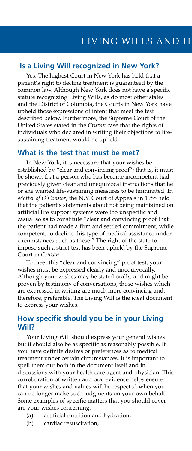#### **Is a Living Will recognized in New York?**

Yes. The highest Court in New York has held that a patient's right to decline treatment is guaranteed by the common law. Although New York does not have a specific statute recognizing Living Wills, as do most other states and the District of Columbia, the Courts in New York have upheld those expressions of intent that meet the test described below. Furthermore, the Supreme Court of the United States stated in the *Cruzan* case that the rights of individuals who declared in writing their objections to lifesustaining treatment would be upheld.

#### **What is the test that must be met?**

In New York, it is necessary that your wishes be established by "clear and convincing proof"; that is, it must be shown that a person who has become incompetent had previously given clear and unequivocal instructions that he or she wanted life-sustaining measures to be terminated. In *Matter of O'Connor*, the N.Y. Court of Appeals in 1988 held that the patient's statements about not being maintained on artificial life support systems were too unspecific and casual so as to constitute "clear and convincing proof that the patient had made a firm and settled commitment, while competent, to decline this type of medical assistance under circumstances such as these." The right of the state to impose such a strict test has been upheld by the Supreme Court in *Cruzan*.

To meet this "clear and convincing" proof test, your wishes must be expressed clearly and unequivocally. Although your wishes may be stated orally, and might be proven by testimony of conversations, those wishes which are expressed in writing are much more convincing and, therefore, preferable. The Living Will is the ideal document to express your wishes.

#### **How specific should you be in your Living Will?**

Your Living Will should express your general wishes but it should also be as specific as reasonably possible. If you have definite desires or preferences as to medical treatment under certain circumstances, it is important to spell them out both in the document itself and in discussions with your health care agent and physician. This corroboration of written and oral evidence helps ensure that your wishes and values will be respected when you can no longer make such judgments on your own behalf. Some examples of specific matters that you should cover are your wishes concerning:

- (a) artificial nutrition and hydration,
- (b) cardiac resuscitation,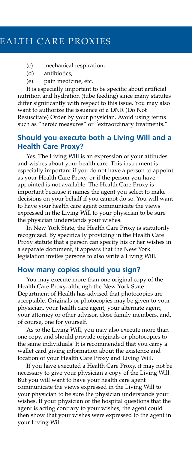## EALTH CARE PROXIES

- (c) mechanical respiration,
- (d) antibiotics,
- (e) pain medicine, etc.

It is especially important to be specific about artificial nutrition and hydration (tube feeding) since many statutes differ significantly with respect to this issue. You may also want to authorize the issuance of a DNR (Do Not Resuscitate) Order by your physician. Avoid using terms such as "heroic measures" or "extraordinary treatments."

## **Should you execute both a Living Will and a Health Care Proxy?**

Yes. The Living Will is an expression of your attitudes and wishes about your health care. This instrument is especially important if you do not have a person to appoint as your Health Care Proxy, or if the person you have appointed is not available. The Health Care Proxy is important because it names the agent you select to make decisions on your behalf if you cannot do so. You will want to have your health care agent communicate the views expressed in the Living Will to your physician to be sure the physician understands your wishes.

In New York State, the Health Care Proxy is statutorily recognized. By specifically providing in the Health Care Proxy statute that a person can specify his or her wishes in a separate document, it appears that the New York legislation invites persons to also write a Living Will.

#### **How many copies should you sign?**

You may execute more than one original copy of the Health Care Proxy, although the New York State Department of Health has advised that photocopies are acceptable. Originals or photocopies may be given to your physician, your health care agent, your alternate agent, your attorney or other advisor, close family members, and, of course, one for yourself.

As to the Living Will, you may also execute more than one copy, and should provide originals or photocopies to the same individuals. It is recommended that you carry a wallet card giving information about the existence and location of your Health Care Proxy and Living Will.

If you have executed a Health Care Proxy, it may not be necessary to give your physician a copy of the Living Will. But you will want to have your health care agent communicate the views expressed in the Living Will to your physician to be sure the physician understands your wishes. If your physician or the hospital questions that the agent is acting contrary to your wishes, the agent could then show that your wishes were expressed to the agent in your Living Will.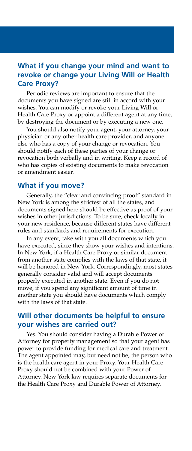## **What if you change your mind and want to revoke or change your Living Will or Health Care Proxy?**

Periodic reviews are important to ensure that the documents you have signed are still in accord with your wishes. You can modify or revoke your Living Will or Health Care Proxy or appoint a different agent at any time, by destroying the document or by executing a new one.

You should also notify your agent, your attorney, your physician or any other health care provider, and anyone else who has a copy of your change or revocation. You should notify each of these parties of your change or revocation both verbally and in writing. Keep a record of who has copies of existing documents to make revocation or amendment easier.

#### **What if you move?**

Generally, the "clear and convincing proof" standard in New York is among the strictest of all the states, and documents signed here should be effective as proof of your wishes in other jurisdictions. To be sure, check locally in your new residence, because different states have different rules and standards and requirements for execution.

In any event, take with you all documents which you have executed, since they show your wishes and intentions. In New York, if a Health Care Proxy or similar document from another state complies with the laws of that state, it will be honored in New York. Correspondingly, most states generally consider valid and will accept documents properly executed in another state. Even if you do not move, if you spend any significant amount of time in another state you should have documents which comply with the laws of that state.

## **Will other documents be helpful to ensure your wishes are carried out?**

Yes. You should consider having a Durable Power of Attorney for property management so that your agent has power to provide funding for medical care and treatment. The agent appointed may, but need not be, the person who is the health care agent in your Proxy. Your Health Care Proxy should not be combined with your Power of Attorney. New York law requires separate documents for the Health Care Proxy and Durable Power of Attorney.